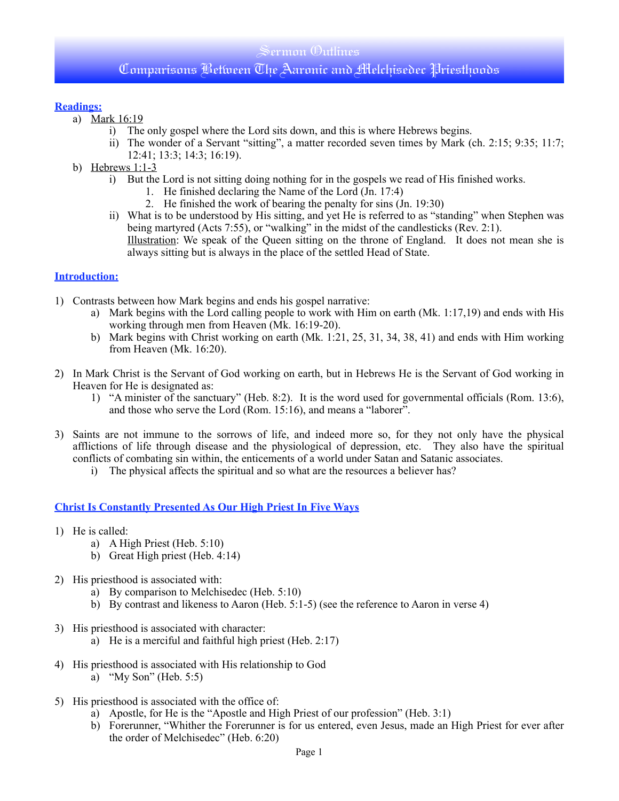### Sermon (Dutlines

## Comparisons Between The Aaronic and Melchisedec Priesthoods

#### **Readings:**

- a) Mark 16:19
	- i) The only gospel where the Lord sits down, and this is where Hebrews begins.
	- ii) The wonder of a Servant "sitting", a matter recorded seven times by Mark (ch. 2:15; 9:35; 11:7; 12:41; 13:3; 14:3; 16:19).
- b) Hebrews  $1:1-3$ 
	- i) But the Lord is not sitting doing nothing for in the gospels we read of His finished works.
		- 1. He finished declaring the Name of the Lord (Jn. 17:4)
		- 2. He finished the work of bearing the penalty for sins (Jn. 19:30)
	- ii) What is to be understood by His sitting, and yet He is referred to as "standing" when Stephen was being martyred (Acts 7:55), or "walking" in the midst of the candlesticks (Rev. 2:1). Illustration: We speak of the Queen sitting on the throne of England. It does not mean she is always sitting but is always in the place of the settled Head of State.

#### **Introduction:**

- 1) Contrasts between how Mark begins and ends his gospel narrative:
	- a) Mark begins with the Lord calling people to work with Him on earth (Mk. 1:17,19) and ends with His working through men from Heaven (Mk. 16:19-20).
	- b) Mark begins with Christ working on earth (Mk. 1:21, 25, 31, 34, 38, 41) and ends with Him working from Heaven (Mk. 16:20).
- 2) In Mark Christ is the Servant of God working on earth, but in Hebrews He is the Servant of God working in Heaven for He is designated as:
	- 1) "A minister of the sanctuary" (Heb. 8:2). It is the word used for governmental officials (Rom. 13:6), and those who serve the Lord (Rom. 15:16), and means a "laborer".
- 3) Saints are not immune to the sorrows of life, and indeed more so, for they not only have the physical afflictions of life through disease and the physiological of depression, etc. They also have the spiritual conflicts of combating sin within, the enticements of a world under Satan and Satanic associates.
	- i) The physical affects the spiritual and so what are the resources a believer has?

#### **Christ Is Constantly Presented As Our High Priest In Five Ways**

- 1) He is called:
	- a) A High Priest (Heb. 5:10)
	- b) Great High priest (Heb. 4:14)
- 2) His priesthood is associated with:
	- a) By comparison to Melchisedec (Heb. 5:10)
	- b) By contrast and likeness to Aaron (Heb. 5:1-5) (see the reference to Aaron in verse 4)
- 3) His priesthood is associated with character:
	- a) He is a merciful and faithful high priest (Heb.  $2:17$ )
- 4) His priesthood is associated with His relationship to God a) "My Son" (Heb. 5:5)
- 5) His priesthood is associated with the office of:
	- a) Apostle, for He is the "Apostle and High Priest of our profession" (Heb.  $3:1$ )
	- b) Forerunner, "Whither the Forerunner is for us entered, even Jesus, made an High Priest for ever after the order of Melchisedec" (Heb. 6:20)